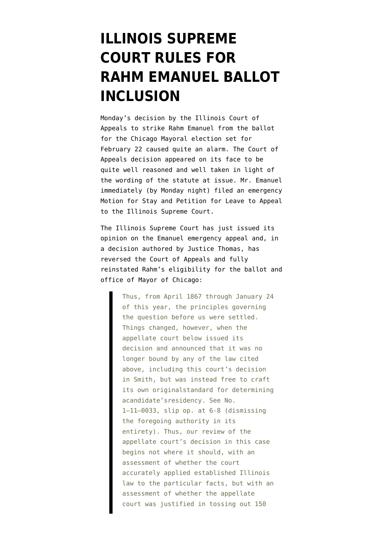# **[ILLINOIS SUPREME](https://www.emptywheel.net/2011/01/27/illinois-supreme-court-rules-for-rahm-emanuel-ballot-inclusion/) [COURT RULES FOR](https://www.emptywheel.net/2011/01/27/illinois-supreme-court-rules-for-rahm-emanuel-ballot-inclusion/) [RAHM EMANUEL BALLOT](https://www.emptywheel.net/2011/01/27/illinois-supreme-court-rules-for-rahm-emanuel-ballot-inclusion/) [INCLUSION](https://www.emptywheel.net/2011/01/27/illinois-supreme-court-rules-for-rahm-emanuel-ballot-inclusion/)**

Monday's decision by the Illinois Court of Appeals to strike Rahm Emanuel from the ballot for the Chicago Mayoral election set for February 22 caused quite an alarm. [The Court of](http://static1.firedoglake.com/28/files/2011/01/IllCtofAppDecision1-24-11.pdf) [Appeals decision](http://static1.firedoglake.com/28/files/2011/01/IllCtofAppDecision1-24-11.pdf) appeared on its face to be quite well reasoned and well taken in light of the wording of the statute at issue. Mr. Emanuel immediately (by Monday night) filed an emergency [Motion for Stay and Petition for Leave to Appeal](http://static1.firedoglake.com/28/files/2011/01/EmergencyMotAffidavit.pdf) to the Illinois Supreme Court.

The Illinois [Supreme Court has just issued its](http://www.state.il.us/court/Opinions/SupremeCourt/2011/January/111773.pdf) [opinion](http://www.state.il.us/court/Opinions/SupremeCourt/2011/January/111773.pdf) on the Emanuel emergency appeal and, in a decision authored by Justice Thomas, has reversed the Court of Appeals and fully reinstated Rahm's eligibility for the ballot and office of Mayor of Chicago:

> Thus, from April 1867 through January 24 of this year, the principles governing the question before us were settled. Things changed, however, when the appellate court below issued its decision and announced that it was no longer bound by any of the law cited above, including this court's decision in Smith, but was instead free to craft its own originalstandard for determining acandidate'sresidency. See No. 1–11–0033, slip op. at 6-8 (dismissing the foregoing authority in its entirety). Thus, our review of the appellate court's decision in this case begins not where it should, with an assessment of whether the court accurately applied established Illinois law to the particular facts, but with an assessment of whether the appellate court was justified in tossing out 150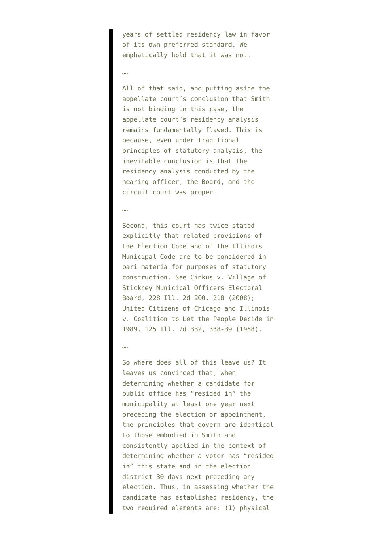years of settled residency law in favor of its own preferred standard. We emphatically hold that it was not.

## ….

All of that said, and putting aside the appellate court's conclusion that Smith is not binding in this case, the appellate court's residency analysis remains fundamentally flawed. This is because, even under traditional principles of statutory analysis, the inevitable conclusion is that the residency analysis conducted by the hearing officer, the Board, and the circuit court was proper.

### ….

Second, this court has twice stated explicitly that related provisions of the Election Code and of the Illinois Municipal Code are to be considered in pari materia for purposes of statutory construction. See Cinkus v. Village of Stickney Municipal Officers Electoral Board, 228 Ill. 2d 200, 218 (2008); United Citizens of Chicago and Illinois v. Coalition to Let the People Decide in 1989, 125 Ill. 2d 332, 338-39 (1988).

#### ….

So where does all of this leave us? It leaves us convinced that, when determining whether a candidate for public office has "resided in" the municipality at least one year next preceding the election or appointment, the principles that govern are identical to those embodied in Smith and consistently applied in the context of determining whether a voter has "resided in" this state and in the election district 30 days next preceding any election. Thus, in assessing whether the candidate has established residency, the two required elements are: (1) physical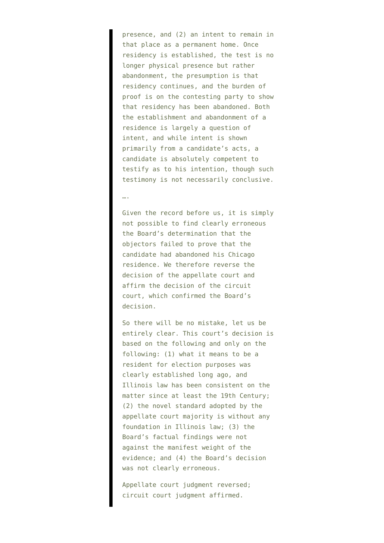presence, and (2) an intent to remain in that place as a permanent home. Once residency is established, the test is no longer physical presence but rather abandonment, the presumption is that residency continues, and the burden of proof is on the contesting party to show that residency has been abandoned. Both the establishment and abandonment of a residence is largely a question of intent, and while intent is shown primarily from a candidate's acts, a candidate is absolutely competent to testify as to his intention, though such testimony is not necessarily conclusive.

### ….

Given the record before us, it is simply not possible to find clearly erroneous the Board's determination that the objectors failed to prove that the candidate had abandoned his Chicago residence. We therefore reverse the decision of the appellate court and affirm the decision of the circuit court, which confirmed the Board's decision.

So there will be no mistake, let us be entirely clear. This court's decision is based on the following and only on the following: (1) what it means to be a resident for election purposes was clearly established long ago, and Illinois law has been consistent on the matter since at least the 19th Century; (2) the novel standard adopted by the appellate court majority is without any foundation in Illinois law; (3) the Board's factual findings were not against the manifest weight of the evidence; and (4) the Board's decision was not clearly erroneous.

Appellate court judgment reversed; circuit court judgment affirmed.